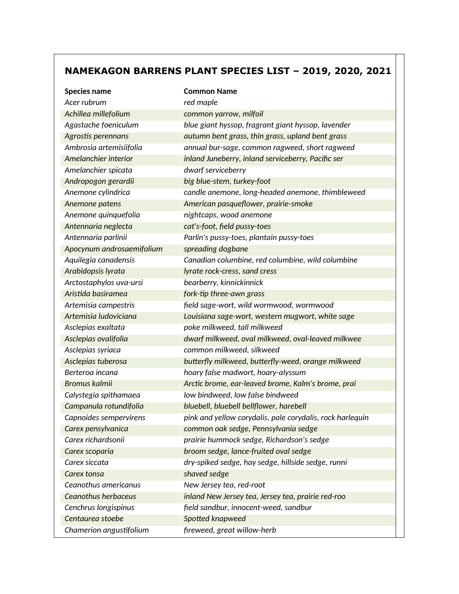## **NAMEKAGON BARRENS PLANT SPECIES LIST – 2019, 2020, 2021**

| <b>Species name</b>       | <b>Common Name</b>                                        |
|---------------------------|-----------------------------------------------------------|
| Acer rubrum               | red maple                                                 |
| Achillea millefolium      | common yarrow, milfoil                                    |
| Agastache foeniculum      | blue giant hyssop, fragrant giant hyssop, lavender        |
| Agrostis perennans        | autumn bent grass, thin grass, upland bent grass          |
| Ambrosia artemisiifolia   | annual bur-sage, common ragweed, short ragweed            |
| Amelanchier interior      | inland Juneberry, inland serviceberry, Pacific ser        |
| Amelanchier spicata       | dwarf serviceberry                                        |
| Andropogon gerardii       | big blue-stem, turkey-foot                                |
| Anemone cylindrica        | candle anemone, long-headed anemone, thimbleweed          |
| Anemone patens            | American pasqueflower, prairie-smoke                      |
| Anemone quinquefolia      | nightcaps, wood anemone                                   |
| Antennaria neglecta       | cat's-foot, field pussy-toes                              |
| Antennaria parlinii       | Parlin's pussy-toes, plantain pussy-toes                  |
| Apocynum androsaemifolium | spreading dogbane                                         |
| Aquilegia canadensis      | Canadian columbine, red columbine, wild columbine         |
| Arabidopsis lyrata        | lyrate rock-cress, sand cress                             |
| Arctostaphylos uva-ursi   | bearberry, kinnickinnick                                  |
| Aristida basiramea        | fork-tip three-awn grass                                  |
| Artemisia campestris      | field sage-wort, wild wormwood, wormwood                  |
| Artemisia ludoviciana     | Louisiana sage-wort, western mugwort, white sage          |
| Asclepias exaltata        | poke milkweed, tall milkweed                              |
| Asclepias ovalifolia      | dwarf milkweed, oval milkweed, oval-leaved milkwee        |
| Asclepias syriaca         | common milkweed, silkweed                                 |
| Asclepias tuberosa        | butterfly milkweed, butterfly-weed, orange milkweed       |
| Berteroa incana           | hoary false madwort, hoary-alyssum                        |
| <b>Bromus kalmii</b>      | Arctic brome, ear-leaved brome, Kalm's brome, prai        |
| Calystegia spithamaea     | low bindweed, low false bindweed                          |
| Campanula rotundifolia    | bluebell, bluebell bellflower, harebell                   |
| Capnoides sempervirens    | pink and yellow corydalis, pale corydalis, rock harlequin |
| Carex pensylvanica        | common oak sedge, Pennsylvania sedge                      |
| Carex richardsonii        | prairie hummock sedge, Richardson's sedge                 |
| Carex scoparia            | broom sedge, lance-fruited oval sedge                     |
| Carex siccata             | dry-spiked sedge, hay sedge, hillside sedge, runni        |
| Carex tonsa               | shaved sedge                                              |
| Ceanothus americanus      | New Jersey tea, red-root                                  |
| Ceanothus herbaceus       | inland New Jersey tea, Jersey tea, prairie red-roo        |
| Cenchrus longispinus      | field sandbur, innocent-weed, sandbur                     |
| Centaurea stoebe          | Spotted knapweed                                          |
| Chamerion angustifolium   | fireweed, great willow-herb                               |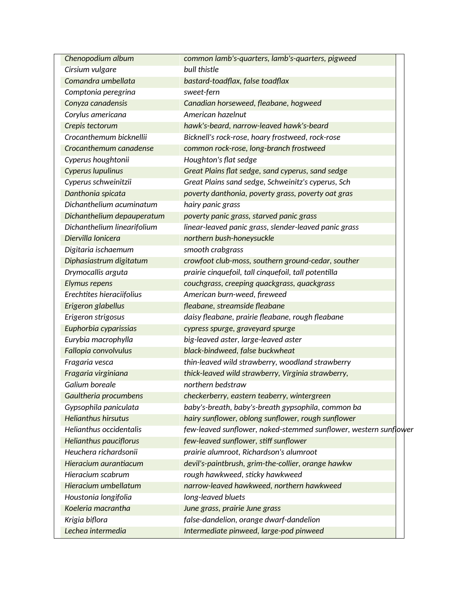| Chenopodium album             | common lamb's-quarters, lamb's-quarters, pigweed                 |
|-------------------------------|------------------------------------------------------------------|
| Cirsium vulgare               | bull thistle                                                     |
| Comandra umbellata            | bastard-toadflax, false toadflax                                 |
| Comptonia peregrina           | sweet-fern                                                       |
| Conyza canadensis             | Canadian horseweed, fleabane, hogweed                            |
| Corylus americana             | American hazelnut                                                |
| Crepis tectorum               | hawk's-beard, narrow-leaved hawk's-beard                         |
| Crocanthemum bicknellii       | Bicknell's rock-rose, hoary frostweed, rock-rose                 |
| Crocanthemum canadense        | common rock-rose, long-branch frostweed                          |
| Cyperus houghtonii            | Houghton's flat sedge                                            |
| Cyperus lupulinus             | Great Plains flat sedge, sand cyperus, sand sedge                |
| Cyperus schweinitzii          | Great Plains sand sedge, Schweinitz's cyperus, Sch               |
| Danthonia spicata             | poverty danthonia, poverty grass, poverty oat gras               |
| Dichanthelium acuminatum      | hairy panic grass                                                |
| Dichanthelium depauperatum    | poverty panic grass, starved panic grass                         |
| Dichanthelium linearifolium   | linear-leaved panic grass, slender-leaved panic grass            |
| Diervilla lonicera            | northern bush-honeysuckle                                        |
| Digitaria ischaemum           | smooth crabgrass                                                 |
| Diphasiastrum digitatum       | crowfoot club-moss, southern ground-cedar, souther               |
| Drymocallis arguta            | prairie cinquefoil, tall cinquefoil, tall potentilla             |
| Elymus repens                 | couchgrass, creeping quackgrass, quackgrass                      |
| Erechtites hieraciifolius     | American burn-weed, fireweed                                     |
| Erigeron glabellus            | fleabane, streamside fleabane                                    |
| Erigeron strigosus            | daisy fleabane, prairie fleabane, rough fleabane                 |
| Euphorbia cyparissias         | cypress spurge, graveyard spurge                                 |
| Eurybia macrophylla           | big-leaved aster, large-leaved aster                             |
| Fallopia convolvulus          | black-bindweed, false buckwheat                                  |
| Fragaria vesca                | thin-leaved wild strawberry, woodland strawberry                 |
| Fragaria virginiana           | thick-leaved wild strawberry, Virginia strawberry,               |
| Galium boreale                | northern bedstraw                                                |
| Gaultheria procumbens         | checkerberry, eastern teaberry, wintergreen                      |
| Gypsophila paniculata         | baby's-breath, baby's-breath gypsophila, common ba               |
| <b>Helianthus hirsutus</b>    | hairy sunflower, oblong sunflower, rough sunflower               |
| Helianthus occidentalis       | few-leaved sunflower, naked-stemmed sunflower, western sunflower |
| <b>Helianthus pauciflorus</b> | few-leaved sunflower, stiff sunflower                            |
| Heuchera richardsonii         | prairie alumroot, Richardson's alumroot                          |
| Hieracium aurantiacum         | devil's-paintbrush, grim-the-collier, orange hawkw               |
| Hieracium scabrum             | rough hawkweed, sticky hawkweed                                  |
| Hieracium umbellatum          | narrow-leaved hawkweed, northern hawkweed                        |
| Houstonia longifolia          | long-leaved bluets                                               |
| Koeleria macrantha            | June grass, prairie June grass                                   |
| Krigia biflora                | false-dandelion, orange dwarf-dandelion                          |
| Lechea intermedia             | Intermediate pinweed, large-pod pinweed                          |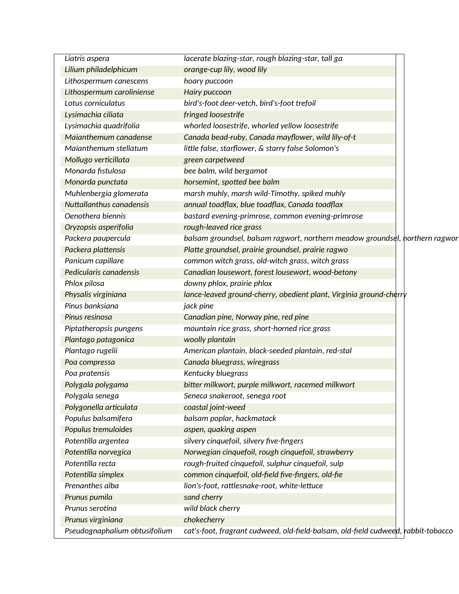| Liatris aspera                | lacerate blazing-star, rough blazing-star, tall ga                                |
|-------------------------------|-----------------------------------------------------------------------------------|
| Lilium philadelphicum         | orange-cup lily, wood lily                                                        |
| Lithospermum canescens        | hoary puccoon                                                                     |
| Lithospermum caroliniense     | Hairy puccoon                                                                     |
| Lotus corniculatus            | bird's-foot deer-vetch, bird's-foot trefoil                                       |
| Lysimachia ciliata            | fringed loosestrife                                                               |
| Lysimachia quadrifolia        | whorled loosestrife, whorled yellow loosestrife                                   |
| Maianthemum canadense         | Canada bead-ruby, Canada mayflower, wild lily-of-t                                |
| Maianthemum stellatum         | little false, starflower, & starry false Solomon's                                |
| Mollugo verticillata          | green carpetweed                                                                  |
| Monarda fistulosa             | bee balm, wild bergamot                                                           |
| Monarda punctata              | horsemint, spotted bee balm                                                       |
| Muhlenbergia glomerata        | marsh muhly, marsh wild-Timothy, spiked muhly                                     |
| Nuttallanthus canadensis      | annual toadflax, blue toadflax, Canada toadflax                                   |
| Oenothera biennis             | bastard evening-primrose, common evening-primrose                                 |
| Oryzopsis asperifolia         | rough-leaved rice grass                                                           |
| Packera paupercula            | balsam groundsel, balsam ragwort, northern meadow groundsel, horthern ragwor      |
| Packera plattensis            | Platte groundsel, prairie groundsel, prairie ragwo                                |
| Panicum capillare             | common witch grass, old-witch grass, witch grass                                  |
| Pedicularis canadensis        | Canadian lousewort, forest lousewort, wood-betony                                 |
| Phlox pilosa                  | downy phlox, prairie phlox                                                        |
| Physalis virginiana           | lance-leaved ground-cherry, obedient plant, Virginia ground-cherry                |
| Pinus banksiana               | jack pine                                                                         |
| Pinus resinosa                | Canadian pine, Norway pine, red pine                                              |
| Piptatheropsis pungens        | mountain rice grass, short-horned rice grass                                      |
| Plantago patagonica           | woolly plantain                                                                   |
| Plantago rugelii              | American plantain, black-seeded plantain, red-stal                                |
| Poa compressa                 | Canada bluegrass, wiregrass                                                       |
| Poa pratensis                 | Kentucky bluegrass                                                                |
| Polygala polygama             | bitter milkwort, purple milkwort, racemed milkwort                                |
| Polygala senega               | Seneca snakeroot, senega root                                                     |
| Polygonella articulata        | coastal joint-weed                                                                |
| Populus balsamifera           | balsam poplar, hackmatack                                                         |
| Populus tremuloides           | aspen, quaking aspen                                                              |
| Potentilla argentea           | silvery cinquefoil, silvery five-fingers                                          |
| Potentilla norvegica          | Norwegian cinquefoil, rough cinquefoil, strawberry                                |
| Potentilla recta              | rough-fruited cinquefoil, sulphur cinquefoil, sulp                                |
| Potentilla simplex            | common cinquefoil, old-field five-fingers, old-fie                                |
| Prenanthes alba               | lion's-foot, rattlesnake-root, white-lettuce                                      |
| Prunus pumila                 | sand cherry                                                                       |
| Prunus serotina               | wild black cherry                                                                 |
| Prunus virginiana             | chokecherry                                                                       |
| Pseudognaphalium obtusifolium | cat's-foot, fragrant cudweed, old-field-balsam, old-field cudweed, rabbit-tobacco |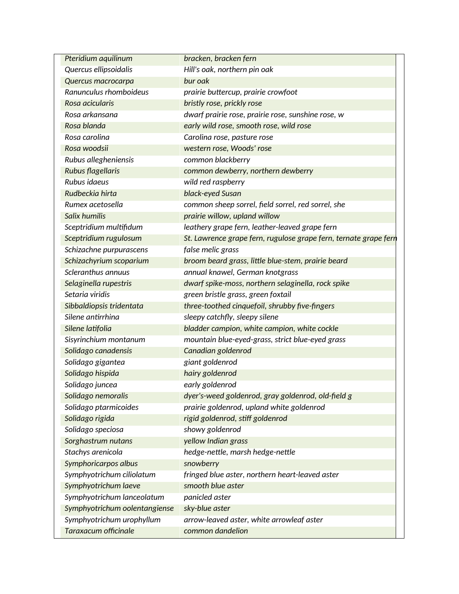| Pteridium aquilinum           | bracken, bracken fern                                            |
|-------------------------------|------------------------------------------------------------------|
| Quercus ellipsoidalis         | Hill's oak, northern pin oak                                     |
| Quercus macrocarpa            | bur oak                                                          |
| Ranunculus rhomboideus        | prairie buttercup, prairie crowfoot                              |
| Rosa acicularis               | bristly rose, prickly rose                                       |
| Rosa arkansana                | dwarf prairie rose, prairie rose, sunshine rose, w               |
| Rosa blanda                   | early wild rose, smooth rose, wild rose                          |
| Rosa carolina                 | Carolina rose, pasture rose                                      |
| Rosa woodsii                  | western rose, Woods' rose                                        |
| Rubus allegheniensis          | common blackberry                                                |
| Rubus flagellaris             | common dewberry, northern dewberry                               |
| Rubus idaeus                  | wild red raspberry                                               |
| Rudbeckia hirta               | black-eyed Susan                                                 |
| Rumex acetosella              | common sheep sorrel, field sorrel, red sorrel, she               |
| Salix humilis                 | prairie willow, upland willow                                    |
| Sceptridium multifidum        | leathery grape fern, leather-leaved grape fern                   |
| Sceptridium rugulosum         | St. Lawrence grape fern, rugulose grape fern, ternate grape fern |
| Schizachne purpurascens       | false melic grass                                                |
| Schizachyrium scoparium       | broom beard grass, little blue-stem, prairie beard               |
| Scleranthus annuus            | annual knawel, German knotgrass                                  |
| Selaginella rupestris         | dwarf spike-moss, northern selaginella, rock spike               |
| Setaria viridis               | green bristle grass, green foxtail                               |
| Sibbaldiopsis tridentata      | three-toothed cinquefoil, shrubby five-fingers                   |
| Silene antirrhina             | sleepy catchfly, sleepy silene                                   |
| Silene latifolia              | bladder campion, white campion, white cockle                     |
| Sisyrinchium montanum         | mountain blue-eyed-grass, strict blue-eyed grass                 |
| Solidago canadensis           | Canadian goldenrod                                               |
| Solidago gigantea             | giant goldenrod                                                  |
| Solidago hispida              | hairy goldenrod                                                  |
| Solidago juncea               | early goldenrod                                                  |
| Solidago nemoralis            | dyer's-weed goldenrod, gray goldenrod, old-field g               |
| Solidago ptarmicoides         | prairie goldenrod, upland white goldenrod                        |
| Solidago rigida               | rigid goldenrod, stiff goldenrod                                 |
| Solidago speciosa             | showy goldenrod                                                  |
| Sorghastrum nutans            | yellow Indian grass                                              |
| Stachys arenicola             | hedge-nettle, marsh hedge-nettle                                 |
| Symphoricarpos albus          | snowberry                                                        |
| Symphyotrichum ciliolatum     | fringed blue aster, northern heart-leaved aster                  |
| Symphyotrichum laeve          | smooth blue aster                                                |
| Symphyotrichum lanceolatum    | panicled aster                                                   |
| Symphyotrichum oolentangiense | sky-blue aster                                                   |
| Symphyotrichum urophyllum     | arrow-leaved aster, white arrowleaf aster                        |
| <b>Taraxacum officinale</b>   | common dandelion                                                 |